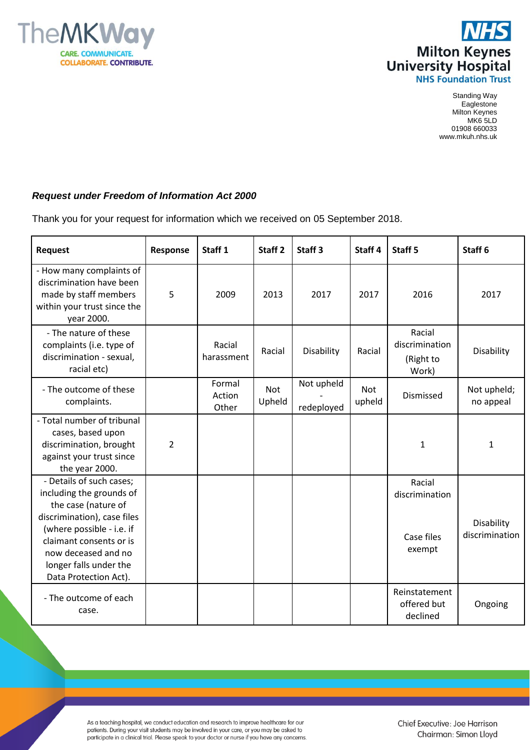



Standing Way **Eaglestone** Milton Keynes MK6 5LD 01908 660033 www.mkuh.nhs.uk

## *Request under Freedom of Information Act 2000*

Thank you for your request for information which we received on 05 September 2018.

| <b>Request</b>                                                                                                                                                                                                                               | Response       | Staff <sub>1</sub>        | Staff <sub>2</sub>   | Staff <sub>3</sub>       | Staff <sub>4</sub> | Staff <sub>5</sub>                               | Staff <sub>6</sub>           |
|----------------------------------------------------------------------------------------------------------------------------------------------------------------------------------------------------------------------------------------------|----------------|---------------------------|----------------------|--------------------------|--------------------|--------------------------------------------------|------------------------------|
| - How many complaints of<br>discrimination have been<br>made by staff members<br>within your trust since the<br>year 2000.                                                                                                                   | 5              | 2009                      | 2013                 | 2017                     | 2017               | 2016                                             | 2017                         |
| - The nature of these<br>complaints (i.e. type of<br>discrimination - sexual,<br>racial etc)                                                                                                                                                 |                | Racial<br>harassment      | Racial               | Disability               | Racial             | Racial<br>discrimination<br>(Right to<br>Work)   | Disability                   |
| - The outcome of these<br>complaints.                                                                                                                                                                                                        |                | Formal<br>Action<br>Other | <b>Not</b><br>Upheld | Not upheld<br>redeployed | Not<br>upheld      | Dismissed                                        | Not upheld;<br>no appeal     |
| - Total number of tribunal<br>cases, based upon<br>discrimination, brought<br>against your trust since<br>the year 2000.                                                                                                                     | $\overline{2}$ |                           |                      |                          |                    | $\mathbf{1}$                                     | $\mathbf{1}$                 |
| - Details of such cases;<br>including the grounds of<br>the case (nature of<br>discrimination), case files<br>(where possible - i.e. if<br>claimant consents or is<br>now deceased and no<br>longer falls under the<br>Data Protection Act). |                |                           |                      |                          |                    | Racial<br>discrimination<br>Case files<br>exempt | Disability<br>discrimination |
| - The outcome of each<br>case.                                                                                                                                                                                                               |                |                           |                      |                          |                    | Reinstatement<br>offered but<br>declined         | Ongoing                      |

As a teaching hospital, we conduct education and research to improve healthcare for our patients. During your visit students may be involved in your care, or you may be asked to participate in a clinical trial. Please speak to your doctor or nurse if you have any concerns.